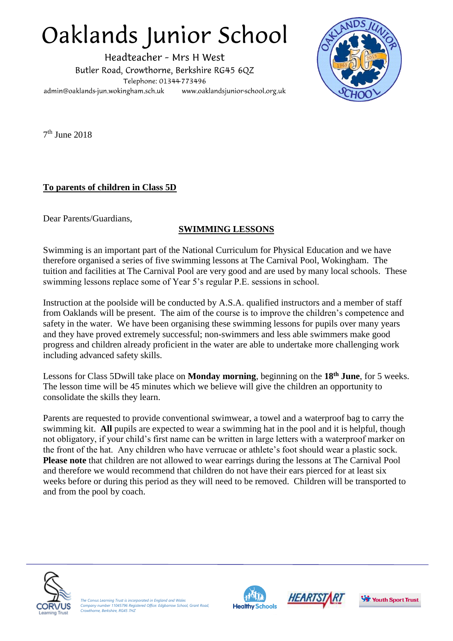## Oaklands Junior School

Headteacher - Mrs H West Butler Road, Crowthorne, Berkshire RG45 6QZ Telephone: 01344-773496 admin@oaklands-jun.wokingham.sch.uk www.oaklandsjunior-school.org.uk



7 th June 2018

## **To parents of children in Class 5D**

Dear Parents/Guardians,

## **SWIMMING LESSONS**

Swimming is an important part of the National Curriculum for Physical Education and we have therefore organised a series of five swimming lessons at The Carnival Pool, Wokingham. The tuition and facilities at The Carnival Pool are very good and are used by many local schools. These swimming lessons replace some of Year 5's regular P.E. sessions in school.

Instruction at the poolside will be conducted by A.S.A. qualified instructors and a member of staff from Oaklands will be present. The aim of the course is to improve the children's competence and safety in the water. We have been organising these swimming lessons for pupils over many years and they have proved extremely successful; non-swimmers and less able swimmers make good progress and children already proficient in the water are able to undertake more challenging work including advanced safety skills.

Lessons for Class 5Dwill take place on **Monday morning**, beginning on the **18th June**, for 5 weeks. The lesson time will be 45 minutes which we believe will give the children an opportunity to consolidate the skills they learn.

Parents are requested to provide conventional swimwear, a towel and a waterproof bag to carry the swimming kit. **All** pupils are expected to wear a swimming hat in the pool and it is helpful, though not obligatory, if your child's first name can be written in large letters with a waterproof marker on the front of the hat. Any children who have verrucae or athlete's foot should wear a plastic sock. **Please note** that children are not allowed to wear earrings during the lessons at The Carnival Pool and therefore we would recommend that children do not have their ears pierced for at least six weeks before or during this period as they will need to be removed. Children will be transported to and from the pool by coach.